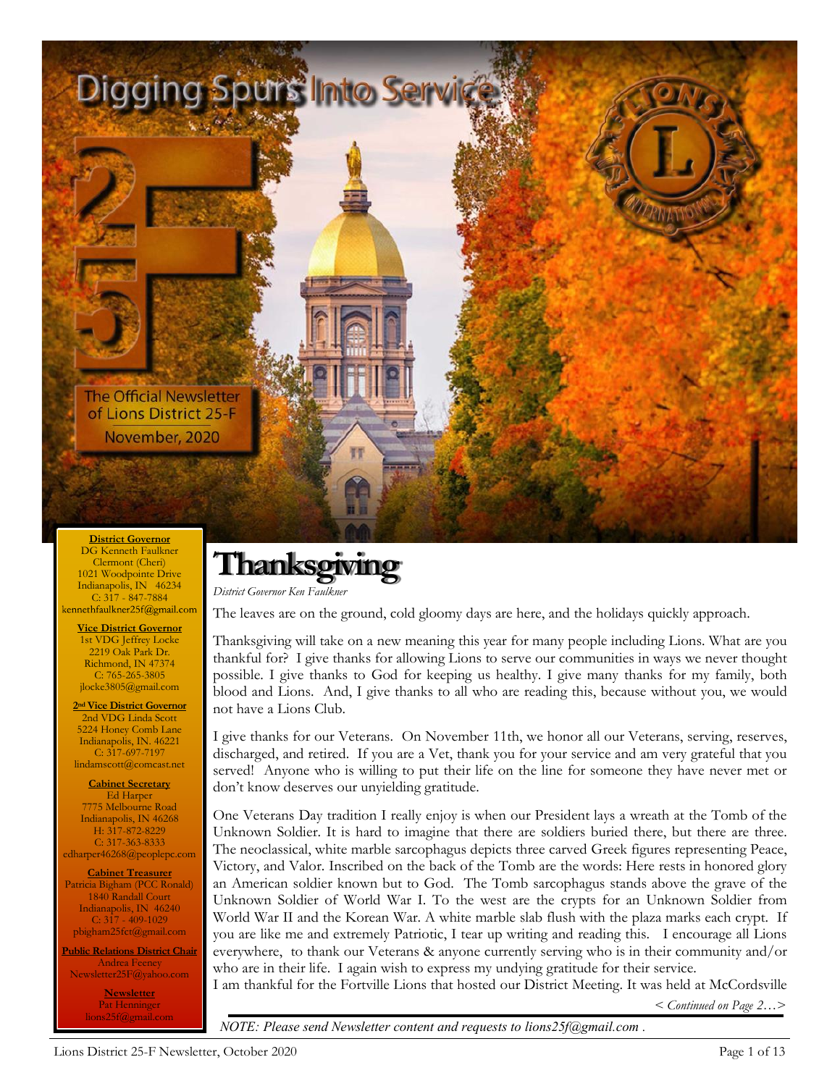

DG Kenneth Faulkner Clermont (Cheri) 1021 Woodpointe Drive Indianapolis, IN 46234 C:  $3\overline{17}$  -  $847-7884$ <br>ennethfaulkner25f@gmail.com

**Vice District Governor** 1st VDG Jeffrey Locke 2219 Oak Park Dr. Richmond, IN 47374 C: 765-265-3805 jlocke3805@gmail.com

**2nd Vice District Governor** 2nd VDG Linda Scott 5224 Honey Comb Lane Indianapolis, IN. 46221 C: 317-697-7197 lindamscott@comcast.net

**Cabinet Secretary** Ed Harper 7775 Melbourne Road Indianapolis, IN 46268 H: 317-872-8229 C: 317-363-8333 edharper46268@peoplepc.com

**Cabinet Treasurer** Patricia Bigham (PCC Ronald) 1840 Randall Court Indianapolis, IN 46240 C:  $3\overline{17} - 409 - 1029$ pbigham25fct@gmail.com

**Public Relations District Chair** Andrea Feeney Newsletter25F@yahoo.com

> **Newsletter** Pat Henninger lions25f@gmail.com

# **Thanksgiving**

*District Governor Ken Faulkner*

The leaves are on the ground, cold gloomy days are here, and the holidays quickly approach.

Thanksgiving will take on a new meaning this year for many people including Lions. What are you thankful for? I give thanks for allowing Lions to serve our communities in ways we never thought possible. I give thanks to God for keeping us healthy. I give many thanks for my family, both blood and Lions. And, I give thanks to all who are reading this, because without you, we would not have a Lions Club.

I give thanks for our Veterans. On November 11th, we honor all our Veterans, serving, reserves, discharged, and retired. If you are a Vet, thank you for your service and am very grateful that you served! Anyone who is willing to put their life on the line for someone they have never met or don't know deserves our unyielding gratitude.

One Veterans Day tradition I really enjoy is when our President lays a wreath at the Tomb of the Unknown Soldier. It is hard to imagine that there are soldiers buried there, but there are three. The neoclassical, white marble sarcophagus depicts three carved Greek figures representing Peace, Victory, and Valor. Inscribed on the back of the Tomb are the words: Here rests in honored glory an American soldier known but to God. The Tomb sarcophagus stands above the grave of the Unknown Soldier of World War I. To the west are the crypts for an Unknown Soldier from World War II and the Korean War. A white marble slab flush with the plaza marks each crypt. If you are like me and extremely Patriotic, I tear up writing and reading this. I encourage all Lions everywhere, to thank our Veterans & anyone currently serving who is in their community and/or who are in their life. I again wish to express my undying gratitude for their service.

I am thankful for the Fortville Lions that hosted our District Meeting. It was held at McCordsville

*< Continued on Page 2…>* 

*NOTE: Please send Newsletter content and requests to lions25f@gmail.com .*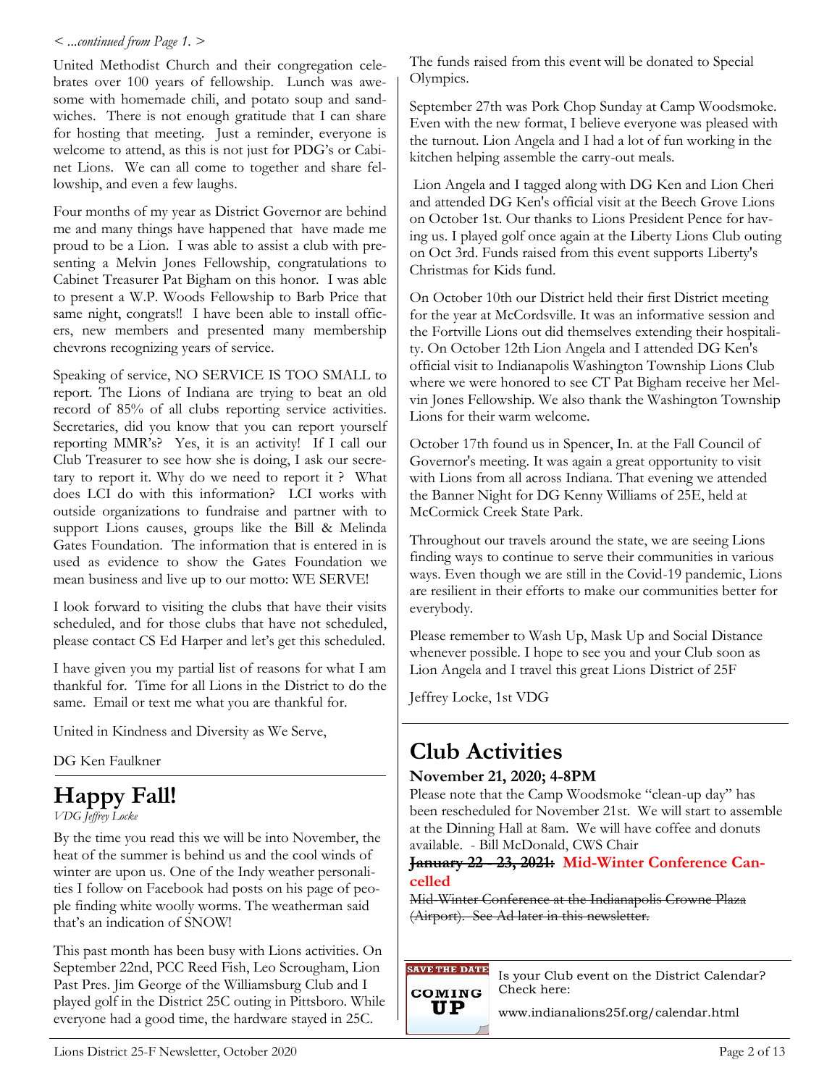#### *< ...continued from Page 1. >*

United Methodist Church and their congregation celebrates over 100 years of fellowship. Lunch was awesome with homemade chili, and potato soup and sandwiches. There is not enough gratitude that I can share for hosting that meeting. Just a reminder, everyone is welcome to attend, as this is not just for PDG's or Cabinet Lions. We can all come to together and share fellowship, and even a few laughs.

Four months of my year as District Governor are behind me and many things have happened that have made me proud to be a Lion. I was able to assist a club with presenting a Melvin Jones Fellowship, congratulations to Cabinet Treasurer Pat Bigham on this honor. I was able to present a W.P. Woods Fellowship to Barb Price that same night, congrats!! I have been able to install officers, new members and presented many membership chevrons recognizing years of service.

Speaking of service, NO SERVICE IS TOO SMALL to report. The Lions of Indiana are trying to beat an old record of 85% of all clubs reporting service activities. Secretaries, did you know that you can report yourself reporting MMR's? Yes, it is an activity! If I call our Club Treasurer to see how she is doing, I ask our secretary to report it. Why do we need to report it ? What does LCI do with this information? LCI works with outside organizations to fundraise and partner with to support Lions causes, groups like the Bill & Melinda Gates Foundation. The information that is entered in is used as evidence to show the Gates Foundation we mean business and live up to our motto: WE SERVE!

I look forward to visiting the clubs that have their visits scheduled, and for those clubs that have not scheduled, please contact CS Ed Harper and let's get this scheduled.

I have given you my partial list of reasons for what I am thankful for. Time for all Lions in the District to do the same. Email or text me what you are thankful for.

United in Kindness and Diversity as We Serve,

DG Ken Faulkner

## **Happy Fall!**

*VDG Jeffrey Locke*

By the time you read this we will be into November, the heat of the summer is behind us and the cool winds of winter are upon us. One of the Indy weather personalities I follow on Facebook had posts on his page of people finding white woolly worms. The weatherman said that's an indication of SNOW!

This past month has been busy with Lions activities. On September 22nd, PCC Reed Fish, Leo Scrougham, Lion Past Pres. Jim George of the Williamsburg Club and I played golf in the District 25C outing in Pittsboro. While everyone had a good time, the hardware stayed in 25C.

The funds raised from this event will be donated to Special Olympics.

September 27th was Pork Chop Sunday at Camp Woodsmoke. Even with the new format, I believe everyone was pleased with the turnout. Lion Angela and I had a lot of fun working in the kitchen helping assemble the carry-out meals.

Lion Angela and I tagged along with DG Ken and Lion Cheri and attended DG Ken's official visit at the Beech Grove Lions on October 1st. Our thanks to Lions President Pence for having us. I played golf once again at the Liberty Lions Club outing on Oct 3rd. Funds raised from this event supports Liberty's Christmas for Kids fund.

On October 10th our District held their first District meeting for the year at McCordsville. It was an informative session and the Fortville Lions out did themselves extending their hospitality. On October 12th Lion Angela and I attended DG Ken's official visit to Indianapolis Washington Township Lions Club where we were honored to see CT Pat Bigham receive her Melvin Jones Fellowship. We also thank the Washington Township Lions for their warm welcome.

October 17th found us in Spencer, In. at the Fall Council of Governor's meeting. It was again a great opportunity to visit with Lions from all across Indiana. That evening we attended the Banner Night for DG Kenny Williams of 25E, held at McCormick Creek State Park.

Throughout our travels around the state, we are seeing Lions finding ways to continue to serve their communities in various ways. Even though we are still in the Covid-19 pandemic, Lions are resilient in their efforts to make our communities better for everybody.

Please remember to Wash Up, Mask Up and Social Distance whenever possible. I hope to see you and your Club soon as Lion Angela and I travel this great Lions District of 25F

Jeffrey Locke, 1st VDG

## **Club Activities**

#### **November 21, 2020; 4-8PM**

Please note that the Camp Woodsmoke "clean-up day" has been rescheduled for November 21st. We will start to assemble at the Dinning Hall at 8am. We will have coffee and donuts available. - Bill McDonald, CWS Chair

#### **January 22 - 23, 2021: Mid-Winter Conference Cancelled**

Mid-Winter Conference at the Indianapolis Crowne Plaza (Airport). See Ad later in this newsletter.

**SAVE THE DATE** COMING

UP

Is your Club event on the District Calendar? Check here:

www.indianalions25f.org/calendar.html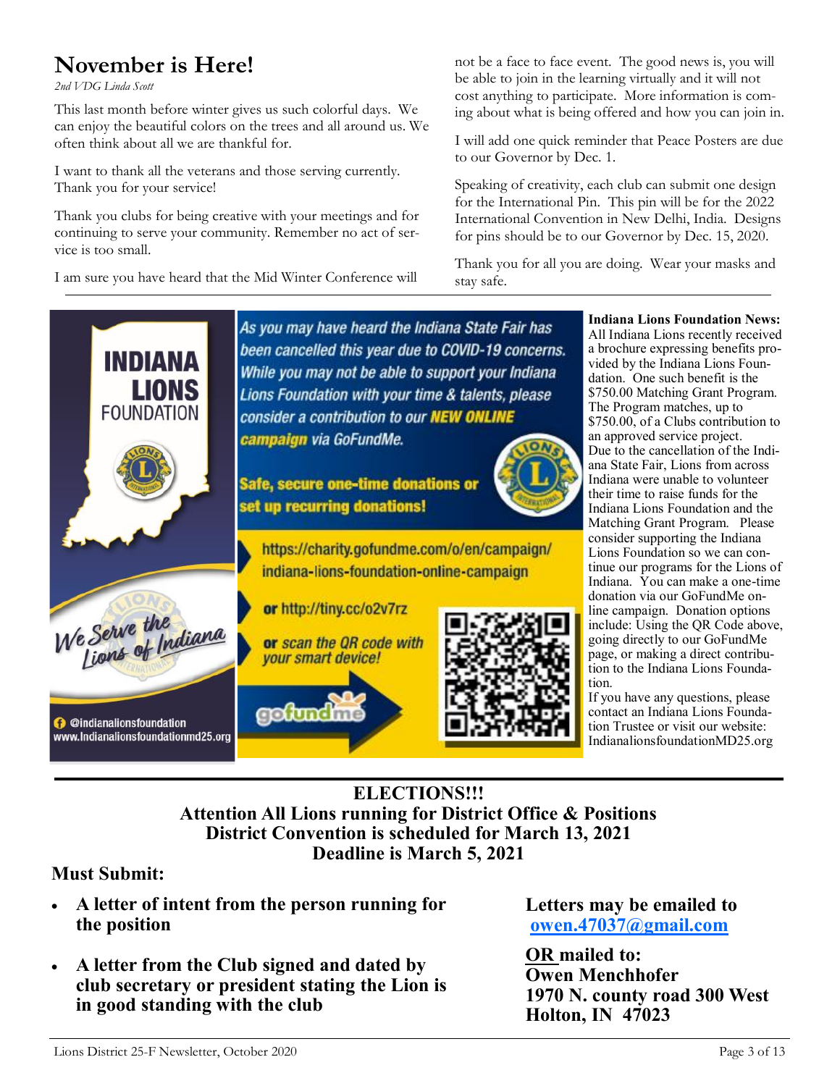## **November is Here!**

*2nd VDG Linda Scott*

This last month before winter gives us such colorful days. We can enjoy the beautiful colors on the trees and all around us. We often think about all we are thankful for.

I want to thank all the veterans and those serving currently. Thank you for your service!

Thank you clubs for being creative with your meetings and for continuing to serve your community. Remember no act of service is too small.

I am sure you have heard that the Mid Winter Conference will

not be a face to face event. The good news is, you will be able to join in the learning virtually and it will not cost anything to participate. More information is coming about what is being offered and how you can join in.

I will add one quick reminder that Peace Posters are due to our Governor by Dec. 1.

Speaking of creativity, each club can submit one design for the International Pin. This pin will be for the 2022 International Convention in New Delhi, India. Designs for pins should be to our Governor by Dec. 15, 2020.

Thank you for all you are doing. Wear your masks and stay safe.



#### **ELECTIONS!!! Attention All Lions running for District Office & Positions District Convention is scheduled for March 13, 2021 Deadline is March 5, 2021**

#### **Must Submit:**

- **A letter of intent from the person running for the position**
- **A letter from the Club signed and dated by club secretary or president stating the Lion is in good standing with the club**

**Letters may be emailed to [owen.47037@gmail.com](about:blank)**

**OR mailed to: Owen Menchhofer 1970 N. county road 300 West Holton, IN 47023**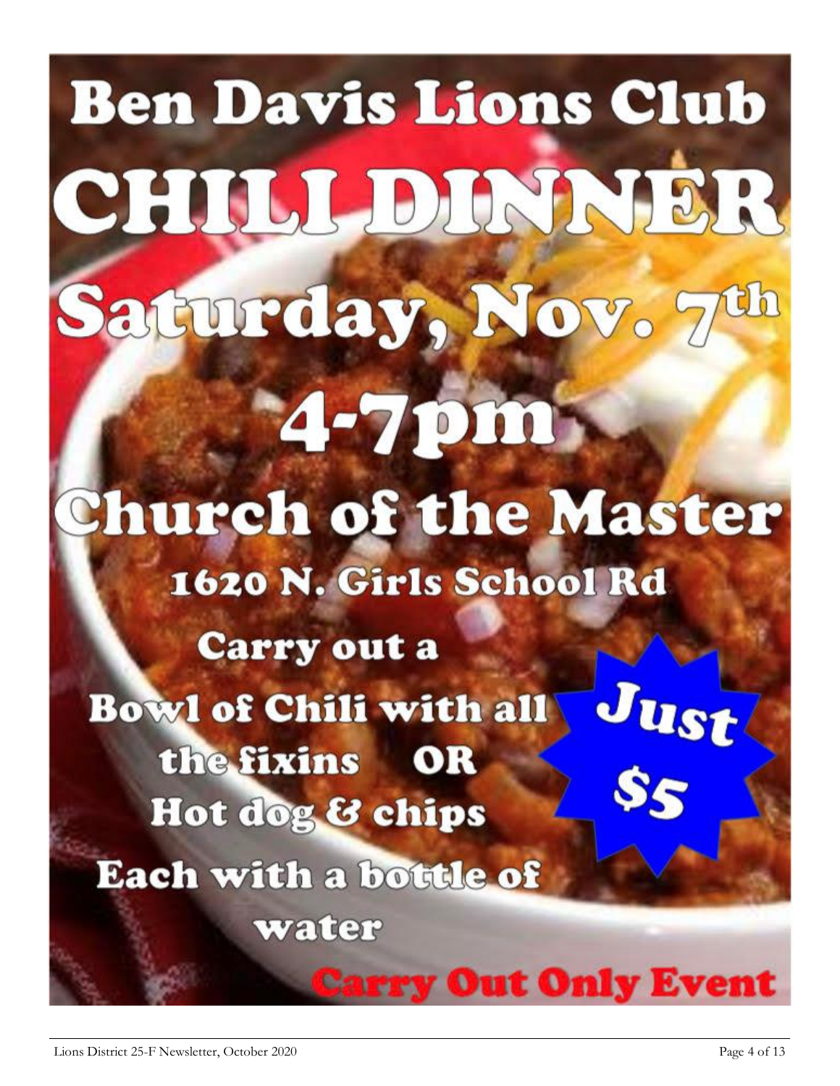**Ben Davis Lions Club** CHILL DINNER Saturday, Nov. 7 4-7pm **Church of the Master** 1620 N. Girls School Rd **Carry out a Bowl of Chili with all** Ist the fixins OR Hot dog & chips Each with a bottle of water **Out Only Event**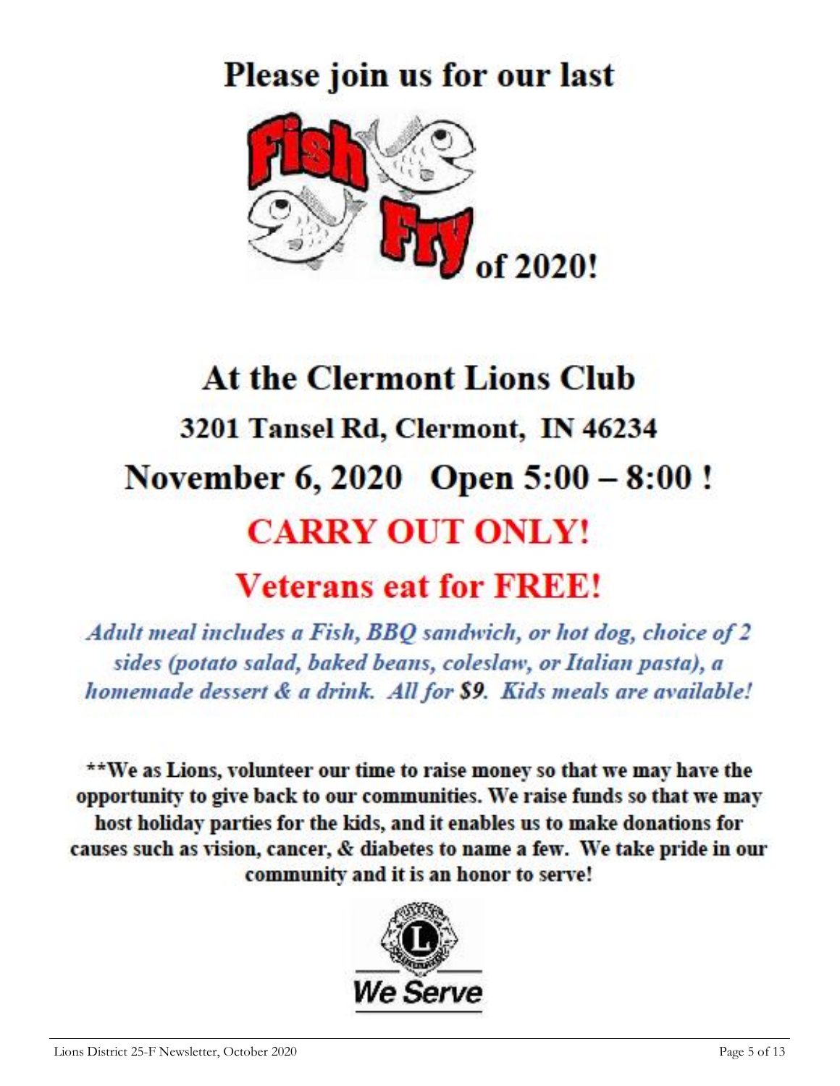# Please join us for our last



# **At the Clermont Lions Club** 3201 Tansel Rd, Clermont, IN 46234 November 6, 2020 Open 5:00 - 8:00! **CARRY OUT ONLY!**

## **Veterans eat for FREE!**

Adult meal includes a Fish, BBQ sandwich, or hot dog, choice of 2 sides (potato salad, baked beans, coleslaw, or Italian pasta), a homemade dessert & a drink. All for \$9. Kids meals are available!

\*\*We as Lions, volunteer our time to raise money so that we may have the opportunity to give back to our communities. We raise funds so that we may host holiday parties for the kids, and it enables us to make donations for causes such as vision, cancer, & diabetes to name a few. We take pride in our community and it is an honor to serve!

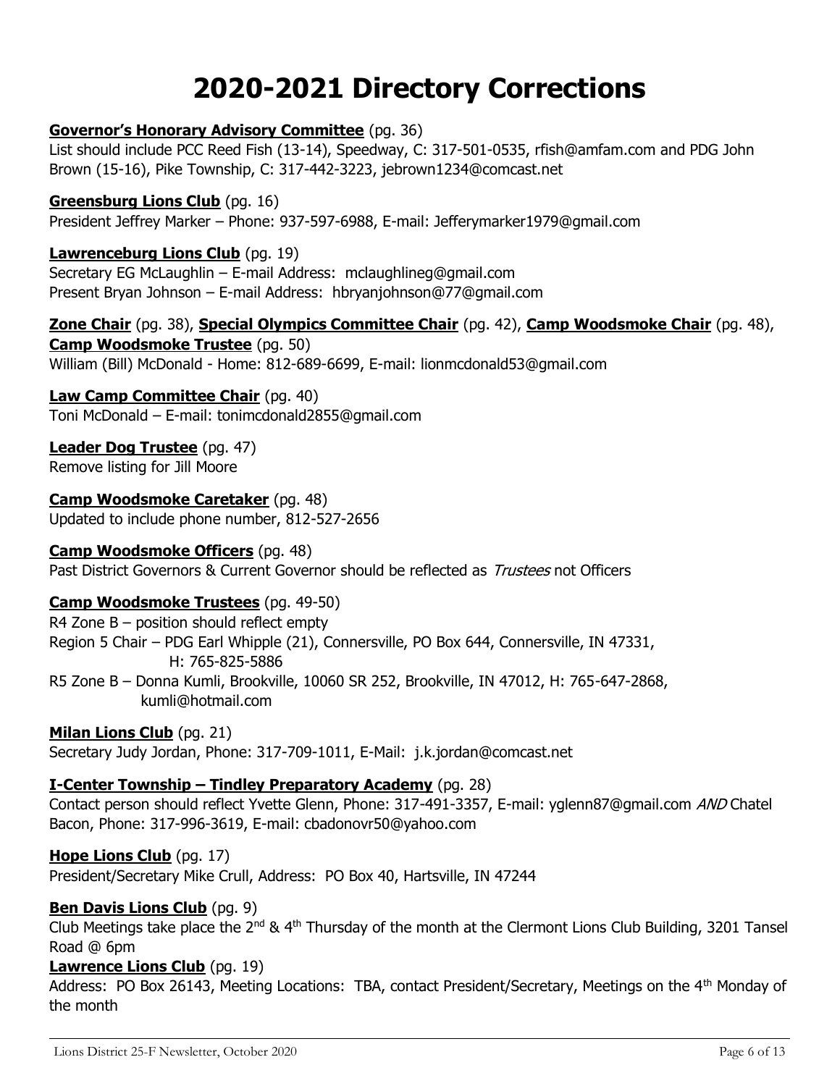## **2020-2021 Directory Corrections**

#### **Governor's Honorary Advisory Committee** (pg. 36)

List should include PCC Reed Fish (13-14), Speedway, C: 317-501-0535, rfish@amfam.com and PDG John Brown (15-16), Pike Township, C: 317-442-3223, jebrown1234@comcast.net

#### **Greensburg Lions Club** (pg. 16) President Jeffrey Marker – Phone: 937-597-6988, E-mail: Jefferymarker1979@gmail.com

**Lawrenceburg Lions Club** (pg. 19) Secretary EG McLaughlin – E-mail Address: mclaughlineg@gmail.com Present Bryan Johnson – E-mail Address: hbryanjohnson@77@gmail.com

#### **Zone Chair** (pg. 38), **Special Olympics Committee Chair** (pg. 42), **Camp Woodsmoke Chair** (pg. 48), **Camp Woodsmoke Trustee** (pg. 50) William (Bill) McDonald - Home: 812-689-6699, E-mail: lionmcdonald53@gmail.com

#### **Law Camp Committee Chair** (pg. 40)

Toni McDonald – E-mail: tonimcdonald2855@gmail.com

#### **Leader Dog Trustee** (pg. 47)

Remove listing for Jill Moore

## **Camp Woodsmoke Caretaker** (pg. 48)

Updated to include phone number, 812-527-2656

#### **Camp Woodsmoke Officers** (pg. 48)

Past District Governors & Current Governor should be reflected as *Trustees* not Officers

#### **Camp Woodsmoke Trustees** (pg. 49-50)

 $R4$  Zone B – position should reflect empty Region 5 Chair – PDG Earl Whipple (21), Connersville, PO Box 644, Connersville, IN 47331, H: 765-825-5886 R5 Zone B – Donna Kumli, Brookville, 10060 SR 252, Brookville, IN 47012, H: 765-647-2868, kumli@hotmail.com

#### **Milan Lions Club** (pg. 21)

Secretary Judy Jordan, Phone: 317-709-1011, E-Mail: j.k.jordan@comcast.net

#### **I-Center Township – Tindley Preparatory Academy** (pg. 28)

Contact person should reflect Yvette Glenn, Phone: 317-491-3357, E-mail: yglenn87@gmail.com AND Chatel Bacon, Phone: 317-996-3619, E-mail: cbadonovr50@yahoo.com

#### **Hope Lions Club** (pg. 17)

President/Secretary Mike Crull, Address: PO Box 40, Hartsville, IN 47244

#### **Ben Davis Lions Club** (pg. 9)

Club Meetings take place the 2<sup>nd</sup> & 4<sup>th</sup> Thursday of the month at the Clermont Lions Club Building, 3201 Tansel Road @ 6pm

#### **Lawrence Lions Club** (pg. 19)

Address: PO Box 26143, Meeting Locations: TBA, contact President/Secretary, Meetings on the 4<sup>th</sup> Monday of the month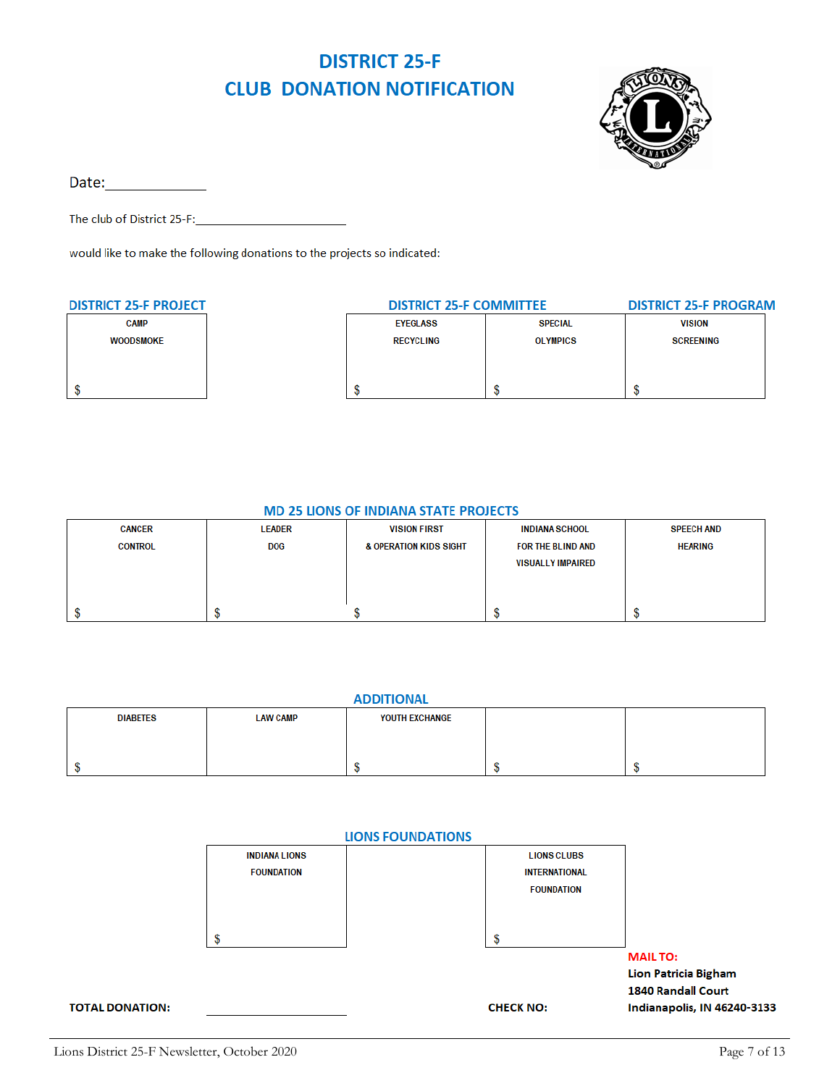### **DISTRICT 25-F CLUB DONATION NOTIFICATION**



Date: and the state of the state of the state of the state of the state of the state of the state of the state

The club of District 25-F:

would like to make the following donations to the projects so indicated:

| <b>DISTRICT 25-F PROJECT</b> | <b>DISTRICT 25-F COMMITTEE</b> |                 | <b>DISTRICT 25-F PROGRAM</b> |
|------------------------------|--------------------------------|-----------------|------------------------------|
| <b>CAMP</b>                  | <b>EYEGLASS</b>                | <b>SPECIAL</b>  | <b>VISION</b>                |
| <b>WOODSMOKE</b>             | <b>RECYCLING</b>               | <b>OLYMPICS</b> | <b>SCREENING</b>             |
|                              |                                |                 |                              |
|                              |                                |                 |                              |
|                              |                                |                 |                              |

#### **MD 25 LIONS OF INDIANA STATE PROJECTS**

| <b>CANCER</b>  | <b>LEADER</b> | <b>VISION FIRST</b>               | <b>INDIANA SCHOOL</b>    | <b>SPEECH AND</b> |
|----------------|---------------|-----------------------------------|--------------------------|-------------------|
| <b>CONTROL</b> | <b>DOG</b>    | <b>&amp; OPERATION KIDS SIGHT</b> | FOR THE BLIND AND        | <b>HEARING</b>    |
|                |               |                                   | <b>VISUALLY IMPAIRED</b> |                   |
|                |               |                                   |                          |                   |
|                |               |                                   |                          |                   |
|                |               |                                   |                          |                   |

| <b>ADDITIONAL</b> |                 |                |  |  |  |  |
|-------------------|-----------------|----------------|--|--|--|--|
| <b>DIABETES</b>   | <b>LAW CAMP</b> | YOUTH EXCHANGE |  |  |  |  |
|                   |                 |                |  |  |  |  |
|                   |                 |                |  |  |  |  |
|                   |                 |                |  |  |  |  |
|                   |                 |                |  |  |  |  |